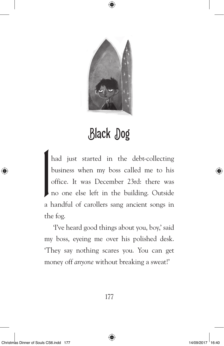

## Black Dog

had just started in the debt-collecting<br>business when my boss called me to his<br>office. It was December 23rd: there was<br>no one else left in the building. Outside business when my boss called me to his office. It was December 23rd: there was no one else left in the building. Outside a handful of carollers sang ancient songs in the fog.

'I've heard good things about you, boy,' said my boss, eyeing me over his polished desk. 'They say nothing scares you. You can get money off *anyone* without breaking a sweat!'

⊕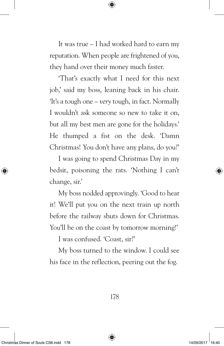It was true – I had worked hard to earn my reputation. When people are frightened of you, they hand over their money much faster.

⊕

'That's exactly what I need for this next job,' said my boss, leaning back in his chair. 'It's a tough one – *very* tough, in fact. Normally I wouldn't ask someone so new to take it on, but all my best men are gone for the holidays.' He thumped a fist on the desk. 'Damn Christmas! You don't have any plans, do you?'

I was going to spend Christmas Day in my bedsit, poisoning the rats. 'Nothing I can't change, sir.'

My boss nodded approvingly. 'Good to hear it! We'll put you on the next train up north before the railway shuts down for Christmas. You'll be on the coast by tomorrow morning!'

I was confused. 'Coast, sir?'

My boss turned to the window. I could see his face in the reflection, peering out the fog.

178

₩

⊛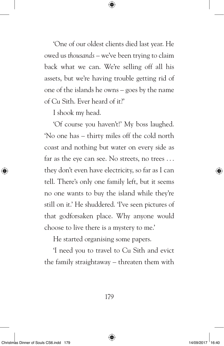'One of our oldest clients died last year. He owed us *thousands –* we've been trying to claim back what we can. We're selling off all his assets, but we're having trouble getting rid of one of the islands he owns – goes by the name of Cu Sith. Ever heard of it?'

⊕

I shook my head.

'Of course you haven't!' My boss laughed. 'No one has – thirty miles off the cold north coast and nothing but water on every side as far as the eye can see. No streets, no trees . . . they don't even have electricity, so far as I can tell. There's only one family left, but it seems no one wants to buy the island while they're still on it.' He shuddered. 'I've seen pictures of that godforsaken place. Why anyone would choose to live there is a mystery to me.'

He started organising some papers.

'I need you to travel to Cu Sith and evict the family straightaway – threaten them with

179

⇔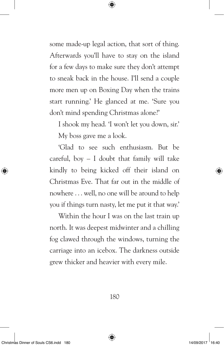some made-up legal action, that sort of thing. Afterwards you'll have to stay on the island for a few days to make sure they don't attempt to sneak back in the house. I'll send a couple more men up on Boxing Day when the trains start running.' He glanced at me. 'Sure you don't mind spending Christmas alone?'

⊕

I shook my head. 'I won't let you down, sir.' My boss gave me a look.

'Glad to see such enthusiasm. But be careful, boy – I doubt that family will take kindly to being kicked off their island on Christmas Eve. That far out in the middle of nowhere . . . well, no one will be around to help you if things turn nasty, let me put it that way.'

Within the hour I was on the last train up north. It was deepest midwinter and a chilling fog clawed through the windows, turning the carriage into an icebox. The darkness outside grew thicker and heavier with every mile.

180

⇔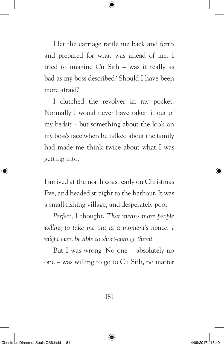I let the carriage rattle me back and forth and prepared for what was ahead of me. I tried to imagine Cu Sith – was it really as bad as my boss described? Should I have been more afraid?

⇔

I clutched the revolver in my pocket. Normally I would never have taken it out of my bedsit – but something about the look on my boss's face when he talked about the family had made me think twice about what I was getting into.

I arrived at the north coast early on Christmas Eve, and headed straight to the harbour. It was a small fishing village, and desperately poor.

*Perfect,* I thought. *That means more people willing to take me out at a moment's notice. I might even be able to short-change them!*

But I was wrong. No one – absolutely no one – was willing to go to Cu Sith, no matter

181

⊕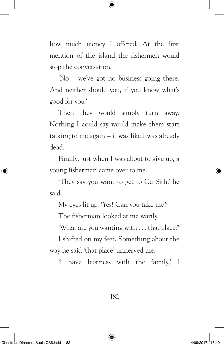how much money I offered. At the first mention of the island the fishermen would stop the conversation.

⊕

'No – we've got no business going there. And neither should you, if you know what's good for you.'

Then they would simply turn away. Nothing I could say would make them start talking to me again – it was like I was already dead.

Finally, just when I was about to give up, a young fisherman came over to me.

'They say you want to get to Cu Sith,' he said.

My eyes lit up. 'Yes! Can you take me?'

The fisherman looked at me warily.

'What are you wanting with . . . that place?'

I shifted on my feet. Something about the way he said 'that place' unnerved me.

'I have business with the family,' I

182

₩

◈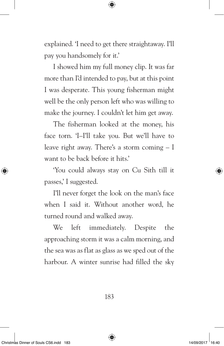explained. 'I need to get there straightaway. I'll pay you handsomely for it.'

⇔

I showed him my full money clip. It was far more than I'd intended to pay, but at this point I was desperate. This young fisherman might well be the only person left who was willing to make the journey. I couldn't let him get away.

The fisherman looked at the money, his face torn. 'I–I'll take you. But we'll have to leave right away. There's a storm coming – I want to be back before it hits.'

'You could always stay on Cu Sith till it passes,' I suggested.

I'll never forget the look on the man's face when I said it. Without another word, he turned round and walked away.

We left immediately. Despite the approaching storm it was a calm morning, and the sea was as flat as glass as we sped out of the harbour. A winter sunrise had filled the sky

183

⊕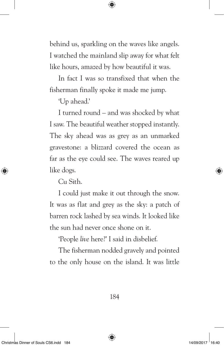behind us, sparkling on the waves like angels. I watched the mainland slip away for what felt like hours, amazed by how beautiful it was.

⇔

In fact I was so transfixed that when the fisherman finally spoke it made me jump.

'Up ahead.'

I turned round – and was shocked by what I saw. The beautiful weather stopped instantly. The sky ahead was as grey as an unmarked gravestone: a blizzard covered the ocean as far as the eye could see. The waves reared up like dogs.

Cu Sith.

I could just make it out through the snow. It was as flat and grey as the sky: a patch of barren rock lashed by sea winds. It looked like the sun had never once shone on it.

'People *live* here?' I said in disbelief.

The fisherman nodded gravely and pointed to the only house on the island. It was little

184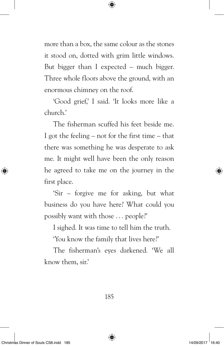more than a box, the same colour as the stones it stood on, dotted with grim little windows. But bigger than I expected – much bigger. Three whole floors above the ground, with an enormous chimney on the roof.

 $\Leftrightarrow$ 

'Good grief,' I said. 'It looks more like a church.'

The fisherman scuffed his feet beside me. I got the feeling – not for the first time – that there was something he was desperate to ask me. It might well have been the only reason he agreed to take me on the journey in the first place.

'Sir – forgive me for asking, but what business do you have here? What could you possibly want with those . . . people?'

I sighed. It was time to tell him the truth.

'You know the family that lives here?'

The fisherman's eyes darkened. 'We all know them, sir.'

185

⊕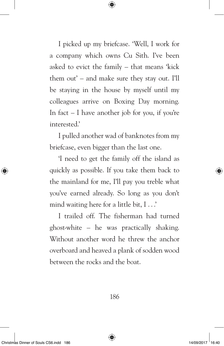I picked up my briefcase. 'Well, I work for a company which owns Cu Sith. I've been asked to evict the family – that means 'kick them out' – and make sure they stay out. I'll be staying in the house by myself until my colleagues arrive on Boxing Day morning. In fact  $-1$  have another job for you, if you're interested.'

⇔

I pulled another wad of banknotes from my briefcase, even bigger than the last one.

'I need to get the family off the island as quickly as possible. If you take them back to the mainland for me, I'll pay you treble what you've earned already. So long as you don't mind waiting here for a little bit, I . . .'

I trailed off. The fisherman had turned ghost-white – he was practically shaking. Without another word he threw the anchor overboard and heaved a plank of sodden wood between the rocks and the boat.

⇔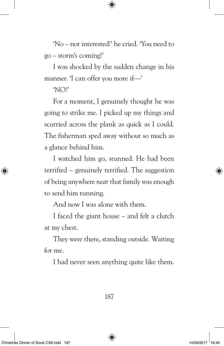'No – not interested!' he cried. 'You need to go – storm's coming!'

⇔

I was shocked by the sudden change in his manner. 'I can offer you more if—'

'NO!'

For a moment, I genuinely thought he was going to strike me. I picked up my things and scurried across the plank as quick as I could. The fisherman sped away without so much as a glance behind him.

I watched him go, stunned. He had been terrified – genuinely terrified. The suggestion of being anywhere *near* that family was enough to send him running.

And now I was alone with them.

I faced the giant house – and felt a clutch at my chest.

They were there, standing outside. Waiting for me.

I had never seen anything quite like them.

⇔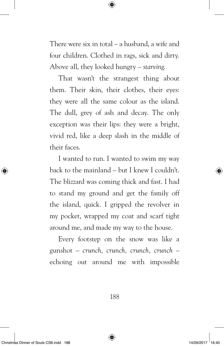There were six in total – a husband, a wife and four children. Clothed in rags, sick and dirty. Above all, they looked hungry – *starving*.

⇔

That wasn't the strangest thing about them. Their skin, their clothes, their eyes: they were all the same colour as the island. The dull, grey of ash and decay. The only exception was their lips: they were a bright, vivid red, like a deep slash in the middle of their faces.

I wanted to run. I wanted to swim my way back to the mainland – but I knew I couldn't. The blizzard was coming thick and fast. I had to stand my ground and get the family off the island, quick. I gripped the revolver in my pocket, wrapped my coat and scarf tight around me, and made my way to the house.

Every footstep on the snow was like a gunshot – *crunch, crunch, crunch, crunch* – echoing out around me with impossible

188

⇔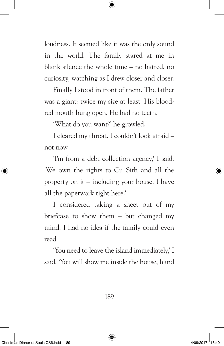loudness. It seemed like it was the only sound in the world. The family stared at me in blank silence the whole time – no hatred, no curiosity, watching as I drew closer and closer.

⊕

Finally I stood in front of them. The father was a giant: twice my size at least. His bloodred mouth hung open. He had no teeth.

'What do you want?' he growled.

I cleared my throat. I couldn't look afraid – not now.

'I'm from a debt collection agency,' I said. 'We own the rights to Cu Sith and all the property on it – including your house. I have all the paperwork right here.'

I considered taking a sheet out of my briefcase to show them – but changed my mind. I had no idea if the family could even read.

'You need to leave the island immediately,' I said. 'You will show me inside the house, hand

189

⊛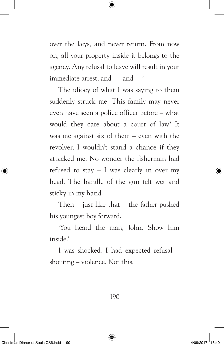over the keys, and never return. From now on, all your property inside it belongs to the agency. Any refusal to leave will result in your immediate arrest, and . . . and . . .'

⊕

The idiocy of what I was saying to them suddenly struck me. This family may never even have seen a police officer before – what would they care about a court of law? It was me against six of them – even with the revolver, I wouldn't stand a chance if they attacked me. No wonder the fisherman had refused to stay  $-1$  was clearly in over my head. The handle of the gun felt wet and sticky in my hand.

Then – just like that – the father pushed his youngest boy forward.

'You heard the man, John. Show him inside.'

I was shocked. I had expected refusal – shouting – violence. Not this.

190

₩

⊛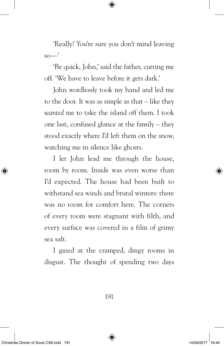'Really? You're sure you don't mind leaving  $so$ —'

⇔

'Be quick, John,' said the father, cutting me off. 'We have to leave before it gets dark.'

John wordlessly took my hand and led me to the door. It was as simple as that – like they *wanted* me to take the island off them. I took one last, confused glance at the family – they stood exactly where I'd left them on the snow, watching me in silence like ghosts.

I let John lead me through the house, room by room. Inside was even worse than I'd expected. The house had been built to withstand sea winds and brutal winters: there was no room for comfort here. The corners of every room were stagnant with filth, and every surface was covered in a film of grimy sea salt.

I gazed at the cramped, dingy rooms in disgust. The thought of spending two days

191

⊕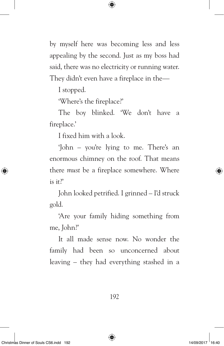by myself here was becoming less and less appealing by the second. Just as my boss had said, there was no electricity or running water. They didn't even have a fireplace in the—

⊕

I stopped.

'Where's the fireplace?'

The boy blinked. 'We don't have a fireplace.'

I fixed him with a look.

'John – you're lying to me. There's an enormous chimney on the roof. That means there *must* be a fireplace somewhere. Where is it?'

John looked petrified. I grinned – I'd struck gold.

'Are your family hiding something from me, John?'

It all made sense now. No wonder the family had been so unconcerned about leaving – they had everything stashed in a

192

◈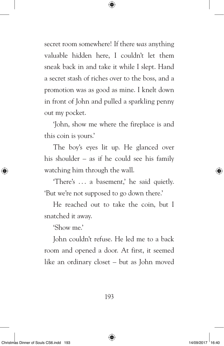secret room somewhere! If there *was* anything valuable hidden here, I couldn't let them sneak back in and take it while I slept. Hand a secret stash of riches over to the boss, and a promotion was as good as mine. I knelt down in front of John and pulled a sparkling penny out my pocket.

⇔

'John, show me where the fireplace is and this coin is yours.'

The boy's eyes lit up. He glanced over his shoulder – as if he could see his family watching him through the wall.

'There's . . . a basement,' he said quietly. 'But we're not supposed to go down there.'

He reached out to take the coin, but I snatched it away.

'Show me.'

John couldn't refuse. He led me to a back room and opened a door. At first, it seemed like an ordinary closet – but as John moved

193

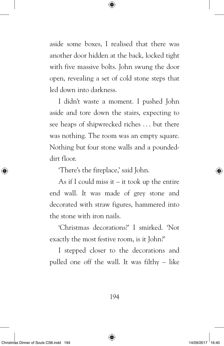aside some boxes, I realised that there was another door hidden at the back, locked tight with five massive bolts. John swung the door open, revealing a set of cold stone steps that led down into darkness.

⇔

I didn't waste a moment. I pushed John aside and tore down the stairs, expecting to see heaps of shipwrecked riches ... but there was nothing. The room was an empty square. Nothing but four stone walls and a poundeddirt floor.

'There's the fireplace,' said John.

As if I could miss it  $-$  it took up the entire end wall. It was made of grey stone and decorated with straw figures, hammered into the stone with iron nails.

'Christmas decorations?' I smirked. 'Not exactly the most festive room, is it John?'

I stepped closer to the decorations and pulled one off the wall. It was filthy – like

194

⇔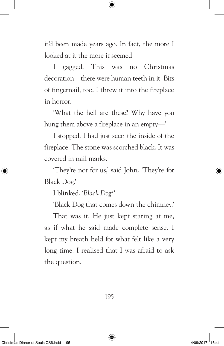it'd been made years ago. In fact, the more I looked at it the more it seemed—

⇔

I gagged. This was no Christmas decoration – there were human teeth in it. Bits of fingernail, too. I threw it into the fireplace in horror.

'What the hell are these? Why have you hung them above a fireplace in an empty—'

I stopped. I had just seen the inside of the fireplace. The stone was scorched black. It was covered in nail marks*.*

'They're not for us,' said John. 'They're for Black Dog.'

I blinked. '*Black Dog?*'

'Black Dog that comes down the chimney.'

That was it. He just kept staring at me, as if what he said made complete sense. I kept my breath held for what felt like a very long time. I realised that I was afraid to ask the question.

195

⇔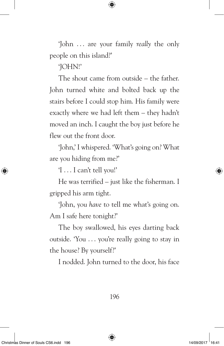'John . . . are your family *really* the only people on this island?'

⊕

'JOHN!'

The shout came from outside – the father. John turned white and bolted back up the stairs before I could stop him. His family were exactly where we had left them – they hadn't moved an inch. I caught the boy just before he flew out the front door.

'John,' I whispered. 'What's going on? What are you hiding from me?'

'I . . . I can't tell you!'

He was terrified – just like the fisherman. I gripped his arm tight.

'John, you *have* to tell me what's going on. Am I safe here tonight?'

The boy swallowed, his eyes darting back outside. 'You . . . you're really going to stay in the house? By yourself?'

I nodded. John turned to the door, his face

196

₩

⊕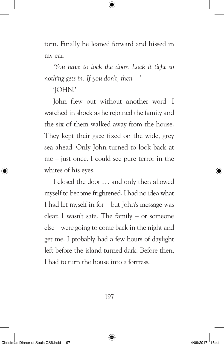torn. Finally he leaned forward and hissed in my ear.

⇔

*'You have to lock the door. Lock it tight so nothing gets in. If you don't, then—'*

'JOHN!'

John flew out without another word. I watched in shock as he rejoined the family and the six of them walked away from the house. They kept their gaze fixed on the wide, grey sea ahead. Only John turned to look back at me – just once. I could see pure terror in the whites of his eyes.

I closed the door . . . and only then allowed myself to become frightened. I had no idea what I had let myself in for – but John's message was clear. I wasn't safe. The family – or someone else – were going to come back in the night and get me. I probably had a few hours of daylight left before the island turned dark. Before then, I had to turn the house into a fortress.

⇔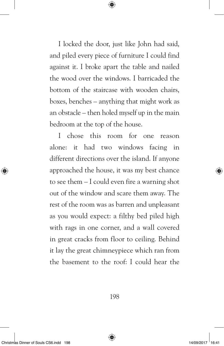I locked the door, just like John had said, and piled every piece of furniture I could find against it. I broke apart the table and nailed the wood over the windows. I barricaded the bottom of the staircase with wooden chairs, boxes, benches – anything that might work as an obstacle – then holed myself up in the main bedroom at the top of the house.

⊕

I chose this room for one reason alone: it had two windows facing in different directions over the island. If anyone approached the house, it was my best chance to see them – I could even fire a warning shot out of the window and scare them away. The rest of the room was as barren and unpleasant as you would expect: a filthy bed piled high with rags in one corner, and a wall covered in great cracks from floor to ceiling. Behind it lay the great chimneypiece which ran from the basement to the roof: I could hear the

198

⊕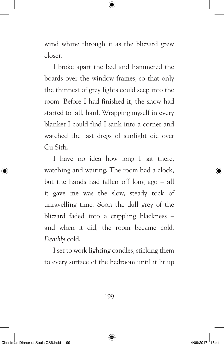wind whine through it as the blizzard grew closer.

⇔

I broke apart the bed and hammered the boards over the window frames, so that only the thinnest of grey lights could seep into the room. Before I had finished it, the snow had started to fall, hard. Wrapping myself in every blanket I could find I sank into a corner and watched the last dregs of sunlight die over Cu Sith.

I have no idea how long I sat there, watching and waiting. The room had a clock, but the hands had fallen off long ago – all it gave me was the slow, steady tock of unravelling time. Soon the dull grey of the blizzard faded into a crippling blackness – and when it did, the room became cold. *Deathly* cold.

I set to work lighting candles, sticking them to every surface of the bedroom until it lit up

199

⇔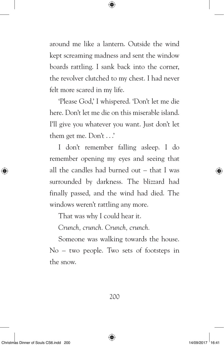around me like a lantern. Outside the wind kept screaming madness and sent the window boards rattling. I sank back into the corner, the revolver clutched to my chest. I had never felt more scared in my life.

⇔

'Please God,' I whispered. 'Don't let me die here. Don't let me die on this miserable island. I'll give you whatever you want. Just don't let them get me. Don't . . .'

I don't remember falling asleep. I do remember opening my eyes and seeing that all the candles had burned out – that I was surrounded by darkness. The blizzard had finally passed, and the wind had died. The windows weren't rattling any more.

That was why I could hear it.

*Crunch, crunch. Crunch, crunch.*

Someone was walking towards the house. No – two people. Two sets of footsteps in the snow.

200

⊕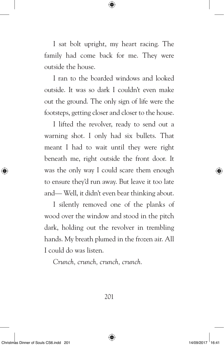I sat bolt upright, my heart racing. The family had come back for me. They were outside the house.

⇔

I ran to the boarded windows and looked outside. It was so dark I couldn't even make out the ground. The only sign of life were the footsteps, getting closer and closer to the house.

I lifted the revolver, ready to send out a warning shot. I only had six bullets. That meant I had to wait until they were right beneath me, right outside the front door. It was the only way I could scare them enough to ensure they'd run away. But leave it too late and— Well, it didn't even bear thinking about.

I silently removed one of the planks of wood over the window and stood in the pitch dark, holding out the revolver in trembling hands. My breath plumed in the frozen air. All I could do was listen.

*Crunch, crunch, crunch, crunch.*

⇔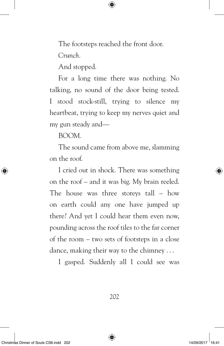The footsteps reached the front door.

⇔

*Crunch.*

And stopped.

For a long time there was nothing. No talking, no sound of the door being tested. I stood stock-still, trying to silence my heartbeat, trying to keep my nerves quiet and my gun steady and—

BOOM*.*

The sound came from above me, slamming on the roof.

I cried out in shock. There was something on the roof – and it was big. My brain reeled. The house was three storeys tall – how on earth could any one have jumped up there? And yet I could hear them even now, pounding across the roof tiles to the far corner of the room – two sets of footsteps in a close dance, making their way to the chimney . . .

I gasped. Suddenly all I could see was

202

⊕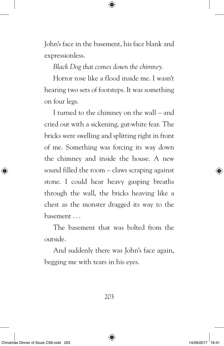John's face in the basement, his face blank and expressionless.

⇔

*Black Dog that comes down the chimney.*

Horror rose like a flood inside me. I wasn't hearing two sets of footsteps. It was something on four legs.

I turned to the chimney on the wall – and cried out with a sickening, gut-white fear. The bricks were swelling and splitting right in front of me. Something was forcing its way down the chimney and inside the house. A new sound filled the room – claws scraping against stone. I could hear heavy gasping breaths through the wall, the bricks heaving like a chest as the monster dragged its way to the basement . . .

The basement that was bolted from the outside.

And suddenly there was John's face again, begging me with tears in his eyes.

203

⊕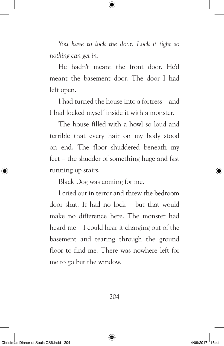*You have to lock the door. Lock it tight so nothing can get in.*

He hadn't meant the front door. He'd meant the basement door. The door I had left open.

I had turned the house into a fortress – and I had locked myself inside it with a monster.

The house filled with a howl so loud and terrible that every hair on my body stood on end. The floor shuddered beneath my feet – the shudder of something huge and fast running up stairs.

Black Dog was coming for me.

I cried out in terror and threw the bedroom door shut. It had no lock – but that would make no difference here. The monster had heard me – I could hear it charging out of the basement and tearing through the ground floor to find me. There was nowhere left for me to go but the window.

204

⊕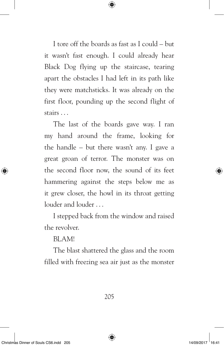I tore off the boards as fast as I could – but it wasn't fast enough. I could already hear Black Dog flying up the staircase, tearing apart the obstacles I had left in its path like they were matchsticks. It was already on the first floor, pounding up the second flight of stairs . . .

⇔

The last of the boards gave way. I ran my hand around the frame, looking for the handle – but there wasn't any. I gave a great groan of terror. The monster was on the second floor now, the sound of its feet hammering against the steps below me as it grew closer, the howl in its throat getting louder and louder . . .

I stepped back from the window and raised the revolver.

BLAM!

The blast shattered the glass and the room filled with freezing sea air just as the monster

205

⊕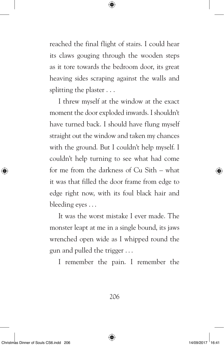reached the final flight of stairs. I could hear its claws gouging through the wooden steps as it tore towards the bedroom door, its great heaving sides scraping against the walls and splitting the plaster . . .

⊕

I threw myself at the window at the exact moment the door exploded inwards. I shouldn't have turned back. I should have flung myself straight out the window and taken my chances with the ground. But I couldn't help myself. I couldn't help turning to see what had come for me from the darkness of Cu Sith – what it was that filled the door frame from edge to edge right now, with its foul black hair and bleeding eyes . . .

It was the worst mistake I ever made. The monster leapt at me in a single bound, its jaws wrenched open wide as I whipped round the gun and pulled the trigger . . .

I remember the pain. I remember the

206

⇔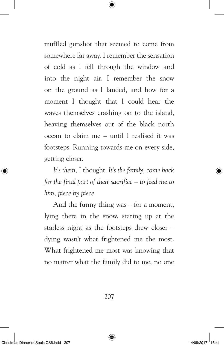muffled gunshot that seemed to come from somewhere far away. I remember the sensation of cold as I fell through the window and into the night air. I remember the snow on the ground as I landed, and how for a moment I thought that I could hear the waves themselves crashing on to the island, heaving themselves out of the black north ocean to claim me – until I realised it was footsteps. Running towards me on every side, getting closer.

⇔

*It's them,* I thought. *It's the family, come back for the final part of their sacrifice – to feed me to him, piece by piece.*

And the funny thing was – for a moment, lying there in the snow, staring up at the starless night as the footsteps drew closer – dying wasn't what frightened me the most. What frightened me most was knowing that no matter what the family did to me, no one

207

⊕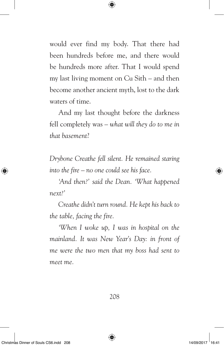would ever find my body. That there had been hundreds before me, and there would be hundreds more after. That I would spend my last living moment on Cu Sith – and then become another ancient myth, lost to the dark waters of time.

⇔

And my last thought before the darkness fell completely was – *what will they do to me in that basement*?

*Drybone Creathe fell silent. He remained staring into the fire – no one could see his face.*

*'And then?' said the Dean. 'What happened next?'*

*Creathe didn't turn round. He kept his back to the table, facing the fire.*

*'When I woke up, I was in hospital on the mainland. It was New Year's Day: in front of me were the two men that my boss had sent to meet me.*

208

⊛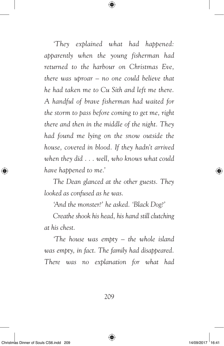*'They explained what had happened: apparently when the young fisherman had returned to the harbour on Christmas Eve, there was uproar – no one could believe that he had taken me to Cu Sith and left me there. A handful of brave fisherman had waited for the storm to pass before coming to get me, right there and then in the middle of the night. They had found me lying on the snow outside the house, covered in blood. If they hadn't arrived when they did . . . well, who knows what could have happened to me.'*

⊕

*The Dean glanced at the other guests. They looked as confused as he was.*

*'And the monster?' he asked. 'Black Dog?'*

*Creathe shook his head, his hand still clutching at his chest.*

*'The house was empty – the whole island was empty, in fact. The family had disappeared. There was no explanation for what had* 

209

⇔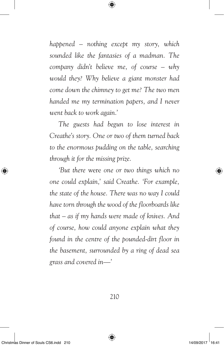*happened – nothing except my story, which sounded like the fantasies of a madman. The company didn't believe me, of course – why would they? Why believe a giant monster had come down the chimney to get me? The two men handed me my termination papers, and I never went back to work again.'*

⊕

*The guests had begun to lose interest in Creathe's story. One or two of them turned back to the enormous pudding on the table, searching through it for the missing prize.*

*'But there* were *one or two things which no one could explain,' said Creathe. 'For example, the state of the house. There was no way I could have torn through the wood of the floorboards like that – as if my hands were made of knives. And of course, how could anyone explain what they found in the centre of the pounded-dirt floor in the basement, surrounded by a ring of dead sea grass and covered in—'*

210

◈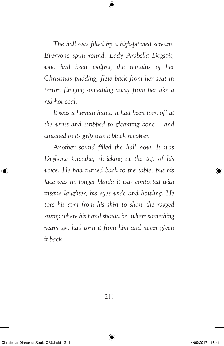*The hall was filled by a high-pitched scream. Everyone spun round. Lady Arabella Dogspit, who had been wolfing the remains of her Christmas pudding, flew back from her seat in terror, flinging something away from her like a red-hot coal.*

⊕

*It was a human hand. It had been torn off at the wrist and stripped to gleaming bone – and clutched in its grip was a black revolver.*

*Another sound filled the hall now. It was Drybone Creathe, shrieking at the top of his voice. He had turned back to the table, but his face was no longer blank: it was contorted with insane laughter, his eyes wide and howling. He tore his arm from his shirt to show the ragged stump where his hand should be, where something years ago had torn it from him and never given it back.*

211

⇔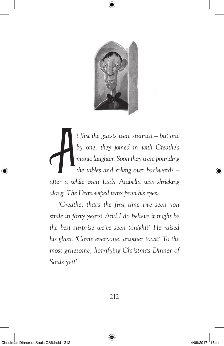

⊕

A *t first the guests were stunned – but one by one, they joined in with Creathe's manic laughter. Soon they were pounding the tables and rolling over backwards – after a while even Lady Arabella was shrieking along. The Dean wiped tears from his eyes.*

*'Creathe, that's the first time I've seen you smile in forty years! And I do believe it might be the best surprise we've seen tonight!' He raised his glass. 'Come everyone, another toast! To the most gruesome, horrifying Christmas Dinner of Souls yet!'*

⊕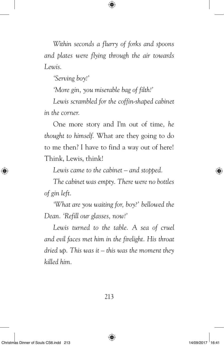*Within seconds a flurry of forks and spoons and plates were flying through the air towards Lewis.*

€

*'Serving boy!'*

*'More gin, you miserable bag of filth!'*

*Lewis scrambled for the coffin-shaped cabinet in the corner.*

One more story and I'm out of time*, he thought to himself.* What are they going to do to me then? I have to find a way out of here! Think, Lewis, think!

*Lewis came to the cabinet – and stopped.*

*The cabinet was empty. There were no bottles of gin left.*

*'What are you waiting for, boy?' bellowed the Dean. 'Refill our glasses, now!'*

*Lewis turned to the table. A sea of cruel and evil faces met him in the firelight. His throat dried up. This was it – this was the moment they killed him.*

213

⇔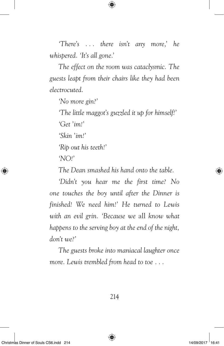*'There's . . . there isn't any more,' he whispered. 'It's all gone.'*

⊕

*The effect on the room was cataclysmic. The guests leapt from their chairs like they had been electrocuted.*

*'No more gin?'*

*'The little maggot's guzzled it up for himself!'*

*'Get 'im!'*

*'Skin 'im!'*

*'Rip out his teeth!'*

*'NO!'*

*The Dean smashed his hand onto the table.*

*'Didn't you hear me the first time? No one touches the boy until after the Dinner is finished! We need him!' He turned to Lewis with an evil grin. 'Because we* all *know what happens to the serving boy at the end of the night, don't we?'*

*The guests broke into maniacal laughter once more. Lewis trembled from head to toe . . .*

214

◈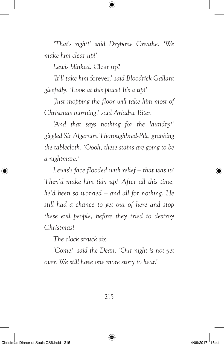*'That's right!' said Drybone Creathe. 'We make him clear up!'*

⇔

*Lewis blinked.* Clear up?

*'It'll take him* forever*,' said Bloodrick Gallant gleefully. 'Look at this place! It's a tip!'*

*'Just mopping the floor will take him most of Christmas morning,' said Ariadne Biter.*

*'And that says nothing for the laundry!' giggled Sir Algernon Thoroughbred-Pilt, grabbing the tablecloth. 'Oooh, these stains are going to be a nightmare!'*

*Lewis's face flooded with relief – that was it? They'd make him tidy up? After all this time, he'd been so worried – and all for nothing. He still had a chance to get out of here and stop these evil people, before they tried to destroy Christmas!*

*The clock struck six.*

*'Come!' said the Dean. 'Our night is not yet over. We still have one more story to hear.'*

⇔